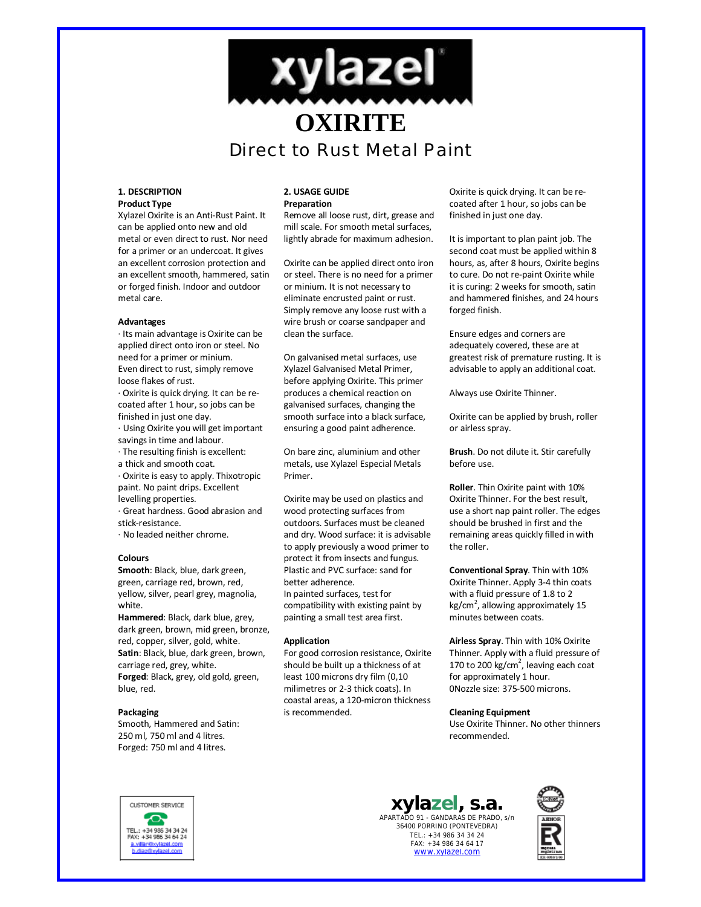

#### **1. DESCRIPTION Product Type**

Xylazel Oxirite is an Anti-Rust Paint. It can be applied onto new and old metal or even direct to rust. Nor need for a primer or an undercoat. It gives an excellent corrosion protection and an excellent smooth, hammered, satin or forged finish. Indoor and outdoor metal care.

### **Advantages**

· Its main advantage is Oxirite can be applied direct onto iron or steel. No need for a primer or minium. Even direct to rust, simply remove loose flakes of rust.

· Oxirite is quick drying. It can be recoated after 1 hour, so jobs can be finished in just one day.

· Using Oxirite you will get important savings in time and labour.

- · The resulting finish is excellent:
- a thick and smooth coat.

· Oxirite is easy to apply. Thixotropic paint. No paint drips. Excellent levelling properties.

· Great hardness. Good abrasion and stick-resistance.

· No leaded neither chrome.

#### **Colours**

**Smooth**: Black, blue, dark green, green, carriage red, brown, red, yellow, silver, pearl grey, magnolia, white.

**Hammered**: Black, dark blue, grey, dark green, brown, mid green, bronze, red, copper, silver, gold, white. **Satin**: Black, blue, dark green, brown, carriage red, grey, white. **Forged**: Black, grey, old gold, green, blue, red.

#### **Packaging**

Smooth, Hammered and Satin: 250 ml, 750 ml and 4 litres. Forged: 750 ml and 4 litres.

#### **2. USAGE GUIDE Preparation**

Remove all loose rust, dirt, grease and mill scale. For smooth metal surfaces, lightly abrade for maximum adhesion.

Oxirite can be applied direct onto iron or steel. There is no need for a primer or minium. It is not necessary to eliminate encrusted paint or rust. Simply remove any loose rust with a wire brush or coarse sandpaper and clean the surface.

On galvanised metal surfaces, use Xylazel Galvanised Metal Primer, before applying Oxirite. This primer produces a chemical reaction on galvanised surfaces, changing the smooth surface into a black surface, ensuring a good paint adherence.

On bare zinc, aluminium and other metals, use Xylazel Especial Metals Primer.

Oxirite may be used on plastics and wood protecting surfaces from outdoors. Surfaces must be cleaned and dry. Wood surface: it is advisable to apply previously a wood primer to protect it from insects and fungus. Plastic and PVC surface: sand for better adherence. In painted surfaces, test for compatibility with existing paint by painting a small test area first.

#### **Application**

For good corrosion resistance, Oxirite should be built up a thickness of at least 100 microns dry film (0,10 milimetres or 2-3 thick coats). In coastal areas, a 120-micron thickness is recommended.

Oxirite is quick drying. It can be recoated after 1 hour, so jobs can be finished in just one day.

It is important to plan paint job. The second coat must be applied within 8 hours, as, after 8 hours, Oxirite begins to cure. Do not re-paint Oxirite while it is curing: 2 weeks for smooth, satin and hammered finishes, and 24 hours forged finish.

Ensure edges and corners are adequately covered, these are at greatest risk of premature rusting. It is advisable to apply an additional coat.

Always use Oxirite Thinner.

Oxirite can be applied by brush, roller or airless spray.

**Brush**. Do not dilute it. Stir carefully before use.

**Roller**. Thin Oxirite paint with 10% Oxirite Thinner. For the best result, use a short nap paint roller. The edges should be brushed in first and the remaining areas quickly filled in with the roller.

**Conventional Spray**. Thin with 10% Oxirite Thinner. Apply 3-4 thin coats with a fluid pressure of 1.8 to 2 kg/cm<sup>2</sup>, allowing approximately 15 minutes between coats.

**Airless Spray**. Thin with 10% Oxirite Thinner. Apply with a fluid pressure of 170 to 200 kg/cm<sup>2</sup>, leaving each coat for approximately 1 hour. 0Nozzle size: 375-500 microns.

#### **Cleaning Equipment**

Use Oxirite Thinner. No other thinners recommended.



# **xylazel, s.a.** APARTADO 91 - GANDARAS DE PRADO, s/n

36400 PORRIÑO (PONTEVEDRA) TEL.: +34 986 34 34 24 FAX: +34 986 34 64 17 www.xylazel.com